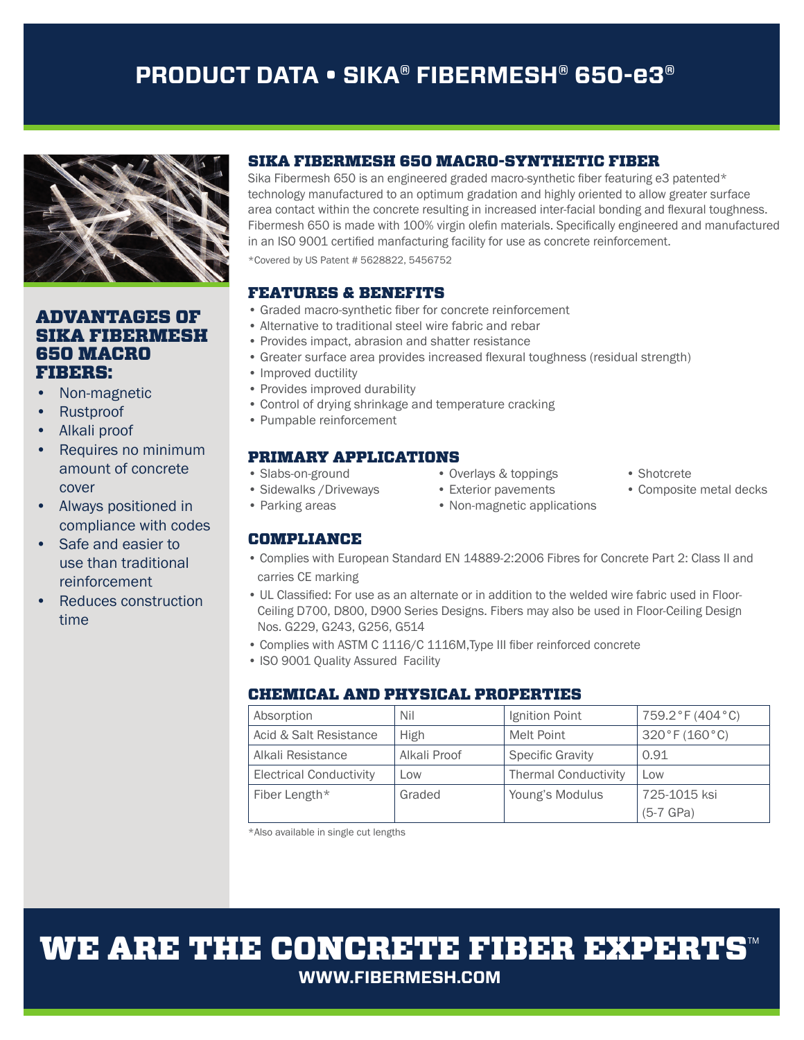# **PRODUCT DATA • SIKA® FIBERMESH® 650-e3®**



## ADVANTAGES OF SIKA FIBERMESH 650 MACRO FIBERS:

- Non-magnetic
- Rustproof
- Alkali proof
- Requires no minimum amount of concrete cover
- Always positioned in compliance with codes
- Safe and easier to use than traditional reinforcement
- Reduces construction time

## SIKA FIBERMESH 650 MACRO-SYNTHETIC FIBER

Sika Fibermesh 650 is an engineered graded macro-synthetic fiber featuring e3 patented $*$ technology manufactured to an optimum gradation and highly oriented to allow greater surface area contact within the concrete resulting in increased inter-facial bonding and flexural toughness. Fibermesh 650 is made with 100% virgin olefin materials. Specifically engineered and manufactured in an ISO 9001 certified manfacturing facility for use as concrete reinforcement.

\*Covered by US Patent # 5628822, 5456752

### FEATURES & BENEFITS

- Graded macro-synthetic fiber for concrete reinforcement
- Alternative to traditional steel wire fabric and rebar
- Provides impact, abrasion and shatter resistance
- Greater surface area provides increased flexural toughness (residual strength)
- Improved ductility
- Provides improved durability
- Control of drying shrinkage and temperature cracking
- Pumpable reinforcement

### PRIMARY APPLICATIONS

- Slabs-on-ground Overlays & toppings Shotcrete
- -

## COMPLIANCE

- 
- 
- Sidewalks / Driveways Exterior pavements Composite metal decks
- Parking areas Non-magnetic applications
- 
- Complies with European Standard EN 14889-2:2006 Fibres for Concrete Part 2: Class II and carries CE marking
- UL Classified: For use as an alternate or in addition to the welded wire fabric used in Floor- Ceiling D700, D800, D900 Series Designs. Fibers may also be used in Floor-Ceiling Design Nos. G229, G243, G256, G514
- Complies with ASTM C 1116/C 1116M, Type III fiber reinforced concrete
- ISO 9001 Quality Assured Facility

## CHEMICAL AND PHYSICAL PROPERTIES

| Absorption                     | Nil          | Ignition Point              | 759.2°F (404°C) |
|--------------------------------|--------------|-----------------------------|-----------------|
| Acid & Salt Resistance         | High         | Melt Point                  | 320°F(160°C)    |
| Alkali Resistance              | Alkali Proof | <b>Specific Gravity</b>     | 0.91            |
| <b>Electrical Conductivity</b> | Low          | <b>Thermal Conductivity</b> | Low             |
| Fiber Length*                  | Graded       | Young's Modulus             | 725-1015 ksi    |
|                                |              |                             | $(5-7)$ GPa)    |

\*Also available in single cut lengths

# WE ARE THE CONCRETE FIBER EXPERTS **WWW.FIBERMESH.COM**